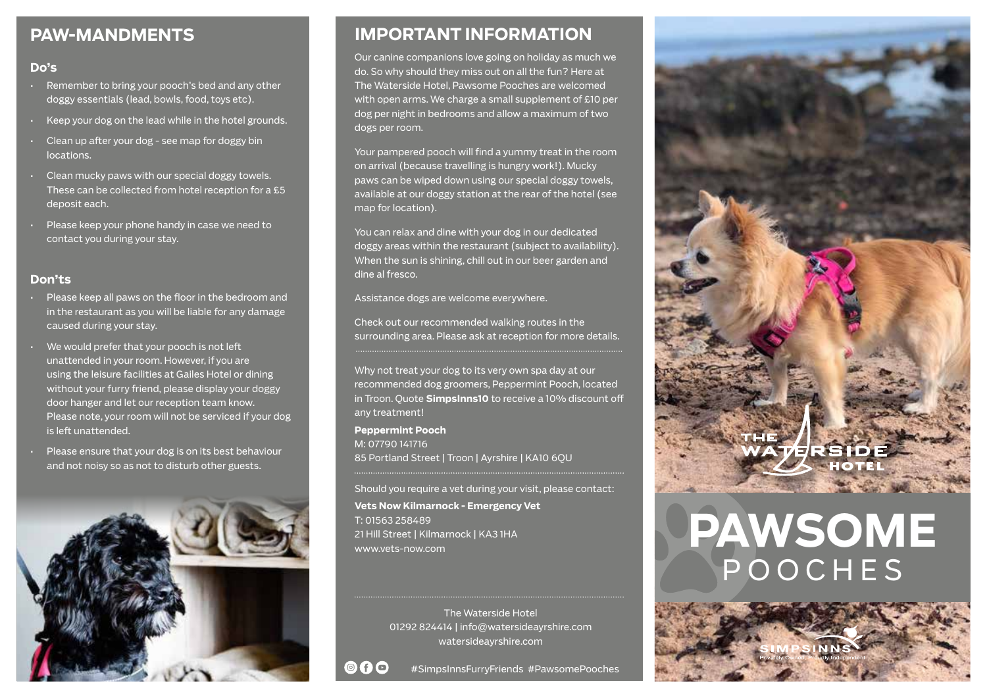# **PAW-MANDMENTS**

## **Do's**

- Remember to bring your pooch's bed and any other doggy essentials (lead, bowls, food, toys etc).
- Keep your dog on the lead while in the hotel grounds.
- Clean up after your dog see map for doggy bin locations.
- Clean mucky paws with our special doggy towels. These can be collected from hotel reception for a £5 deposit each.
- Please keep your phone handy in case we need to contact you during your stay.

## **Don'ts**

- Please keep all paws on the floor in the bedroom and in the restaurant as you will be liable for any damage caused during your stay.
- We would prefer that your pooch is not left unattended in your room. However, if you are using the leisure facilities at Gailes Hotel or dining without your furry friend, please display your doggy door hanger and let our reception team know. Please note, your room will not be serviced if your dog is left unattended.
- Please ensure that your dog is on its best behaviour and not noisy so as not to disturb other guests.



# **IMPORTANT INFORMATION**

Our canine companions love going on holiday as much we do. So why should they miss out on all the fun? Here at The Waterside Hotel, Pawsome Pooches are welcomed with open arms. We charge a small supplement of £10 per dog per night in bedrooms and allow a maximum of two dogs per room.

Your pampered pooch will find a yummy treat in the room on arrival (because travelling is hungry work!). Mucky paws can be wiped down using our special doggy towels, available at our doggy station at the rear of the hotel (see map for location).

You can relax and dine with your dog in our dedicated doggy areas within the restaurant (subject to availability). When the sun is shining, chill out in our beer garden and dine al fresco.

Assistance dogs are welcome everywhere.

Check out our recommended walking routes in the surrounding area. Please ask at reception for more details.

Why not treat your dog to its very own spa day at our recommended dog groomers, Peppermint Pooch, located in Troon. Quote **SimpsInns10** to receive a 10% discount off any treatment!

**Peppermint Pooch** M: 07790 141716 85 Portland Street | Troon | Ayrshire | KA10 6QU

Should you require a vet during your visit, please contact:

**Vets Now Kilmarnock - Emergency Vet**  T: 01563 258489 21 Hill Street | Kilmarnock | KA3 1HA www.vets-now.com

> The Waterside Hotel 01292 824414 | info@watersideayrshire.com watersideayrshire.com





# **PAWSOME** POOCHES